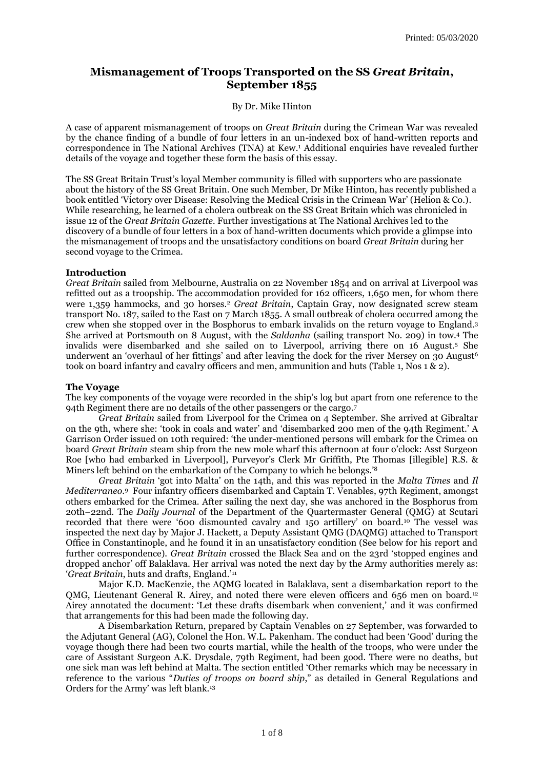# **Mismanagement of Troops Transported on the SS** *Great Britain***, September 1855**

### By Dr. Mike Hinton

A case of apparent mismanagement of troops on *Great Britain* during the Crimean War was revealed by the chance finding of a bundle of four letters in an un-indexed box of hand-written reports and correspondence in The National Archives (TNA) at Kew. <sup>1</sup> Additional enquiries have revealed further details of the voyage and together these form the basis of this essay.

The SS Great Britain Trust's loyal Member community is filled with supporters who are passionate about the history of the SS Great Britain. One such Member, Dr Mike Hinton, has recently published a book entitled 'Victory over Disease: Resolving the Medical Crisis in the Crimean War' (Helion & Co.). While researching, he learned of a cholera outbreak on the SS Great Britain which was chronicled in issue 12 of the *Great Britain Gazette.* Further investigations at The National Archives led to the discovery of a bundle of four letters in a box of hand-written documents which provide a glimpse into the mismanagement of troops and the unsatisfactory conditions on board *Great Britain* during her second voyage to the Crimea.

### **Introduction**

*Great Britain* sailed from Melbourne, Australia on 22 November 1854 and on arrival at Liverpool was refitted out as a troopship. The accommodation provided for 162 officers, 1,650 men, for whom there were 1,359 hammocks, and 30 horses.<sup>2</sup> *Great Britain*, Captain Gray, now designated screw steam transport No. 187, sailed to the East on 7 March 1855. A small outbreak of cholera occurred among the crew when she stopped over in the Bosphorus to embark invalids on the return voyage to England. 3 She arrived at Portsmouth on 8 August, with the *Saldanha* (sailing transport No. 209) in tow. <sup>4</sup> The invalids were disembarked and she sailed on to Liverpool, arriving there on 16 August. <sup>5</sup> She underwent an 'overhaul of her fittings' and after leaving the dock for the river Mersey on 30 August<sup>6</sup> took on board infantry and cavalry officers and men, ammunition and huts (Table 1, Nos 1 & 2).

### **The Voyage**

The key components of the voyage were recorded in the ship's log but apart from one reference to the 94th Regiment there are no details of the other passengers or the cargo. 7

*Great Britain* sailed from Liverpool for the Crimea on 4 September. She arrived at Gibraltar on the 9th, where she: 'took in coals and water' and 'disembarked 200 men of the 94th Regiment.' A Garrison Order issued on 10th required: 'the under-mentioned persons will embark for the Crimea on board *Great Britain* steam ship from the new mole wharf this afternoon at four o'clock: Asst Surgeon Roe [who had embarked in Liverpool], Purveyor's Clerk Mr Griffith, Pte Thomas [illegible] R.S. & Miners left behind on the embarkation of the Company to which he belongs.'<sup>8</sup>

*Great Britain* 'got into Malta' on the 14th, and this was reported in the *Malta Times* and *Il Mediterraneo*. <sup>9</sup> Four infantry officers disembarked and Captain T. Venables, 97th Regiment, amongst others embarked for the Crimea. After sailing the next day, she was anchored in the Bosphorus from 20th–22nd. The *Daily Journal* of the Department of the Quartermaster General (QMG) at Scutari recorded that there were '600 dismounted cavalry and 150 artillery' on board.<sup>10</sup> The vessel was inspected the next day by Major J. Hackett, a Deputy Assistant QMG (DAQMG) attached to Transport Office in Constantinople, and he found it in an unsatisfactory condition (See below for his report and further correspondence). *Great Britain* crossed the Black Sea and on the 23rd 'stopped engines and dropped anchor' off Balaklava. Her arrival was noted the next day by the Army authorities merely as: '*Great Britain*, huts and drafts, England.'<sup>11</sup>

Major K.D. MacKenzie, the AQMG located in Balaklava, sent a disembarkation report to the QMG, Lieutenant General R. Airey, and noted there were eleven officers and 656 men on board.<sup>12</sup> Airey annotated the document: 'Let these drafts disembark when convenient,' and it was confirmed that arrangements for this had been made the following day.

A Disembarkation Return, prepared by Captain Venables on 27 September, was forwarded to the Adjutant General (AG), Colonel the Hon. W.L. Pakenham. The conduct had been 'Good' during the voyage though there had been two courts martial, while the health of the troops, who were under the care of Assistant Surgeon A.K. Drysdale, 79th Regiment, had been good. There were no deaths, but one sick man was left behind at Malta. The section entitled 'Other remarks which may be necessary in reference to the various "*Duties of troops on board ship*," as detailed in General Regulations and Orders for the Army' was left blank.13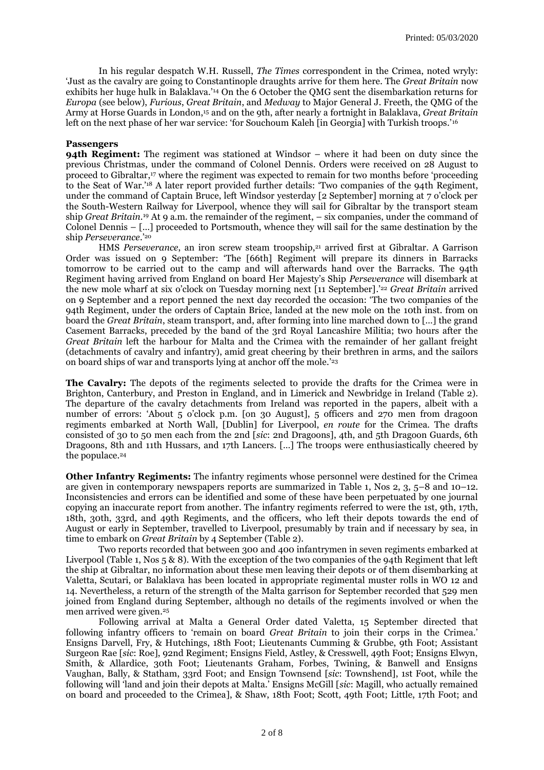In his regular despatch W.H. Russell, *The Times* correspondent in the Crimea, noted wryly: 'Just as the cavalry are going to Constantinople draughts arrive for them here. The *Great Britain* now exhibits her huge hulk in Balaklava.'<sup>14</sup> On the 6 October the QMG sent the disembarkation returns for *Europa* (see below), *Furious*, *Great Britain*, and *Medway* to Major General J. Freeth, the QMG of the Army at Horse Guards in London, <sup>15</sup> and on the 9th, after nearly a fortnight in Balaklava, *Great Britain* left on the next phase of her war service: 'for Souchoum Kaleh [in Georgia] with Turkish troops.'<sup>16</sup>

### **Passengers**

**94th Regiment:** The regiment was stationed at Windsor – where it had been on duty since the previous Christmas, under the command of Colonel Dennis. Orders were received on 28 August to proceed to Gibraltar, <sup>17</sup> where the regiment was expected to remain for two months before 'proceeding to the Seat of War.'<sup>18</sup> A later report provided further details: 'Two companies of the 94th Regiment, under the command of Captain Bruce, left Windsor yesterday [2 September] morning at 7 o'clock per the South-Western Railway for Liverpool, whence they will sail for Gibraltar by the transport steam ship *Great Britain*. <sup>19</sup> At 9 a.m. the remainder of the regiment, – six companies, under the command of Colonel Dennis – […] proceeded to Portsmouth, whence they will sail for the same destination by the ship *Perseverance*.'<sup>20</sup>

HMS *Perseverance*, an iron screw steam troopship,<sup>21</sup> arrived first at Gibraltar. A Garrison Order was issued on 9 September: 'The [66th] Regiment will prepare its dinners in Barracks tomorrow to be carried out to the camp and will afterwards hand over the Barracks. The 94th Regiment having arrived from England on board Her Majesty's Ship *Perseverance* will disembark at the new mole wharf at six o'clock on Tuesday morning next [11 September].' <sup>22</sup> *Great Britain* arrived on 9 September and a report penned the next day recorded the occasion: 'The two companies of the 94th Regiment, under the orders of Captain Brice, landed at the new mole on the 10th inst. from on board the *Great Britain*, steam transport, and, after forming into line marched down to […] the grand Casement Barracks, preceded by the band of the 3rd Royal Lancashire Militia; two hours after the *Great Britain* left the harbour for Malta and the Crimea with the remainder of her gallant freight (detachments of cavalry and infantry), amid great cheering by their brethren in arms, and the sailors on board ships of war and transports lying at anchor off the mole.' 23

**The Cavalry:** The depots of the regiments selected to provide the drafts for the Crimea were in Brighton, Canterbury, and Preston in England, and in Limerick and Newbridge in Ireland (Table 2). The departure of the cavalry detachments from Ireland was reported in the papers, albeit with a number of errors: 'About 5 o'clock p.m. [on 30 August], 5 officers and 270 men from dragoon regiments embarked at North Wall, [Dublin] for Liverpool, *en route* for the Crimea. The drafts consisted of 30 to 50 men each from the 2nd [*sic*: 2nd Dragoons], 4th, and 5th Dragoon Guards, 6th Dragoons, 8th and 11th Hussars, and 17th Lancers. […] The troops were enthusiastically cheered by the populace. 24

**Other Infantry Regiments:** The infantry regiments whose personnel were destined for the Crimea are given in contemporary newspapers reports are summarized in Table 1, Nos 2, 3, 5–8 and 10–12. Inconsistencies and errors can be identified and some of these have been perpetuated by one journal copying an inaccurate report from another. The infantry regiments referred to were the 1st, 9th, 17th, 18th, 30th, 33rd, and 49th Regiments, and the officers, who left their depots towards the end of August or early in September, travelled to Liverpool, presumably by train and if necessary by sea, in time to embark on *Great Britain* by 4 September (Table 2).

Two reports recorded that between 300 and 400 infantrymen in seven regiments embarked at Liverpool (Table 1, Nos 5 & 8). With the exception of the two companies of the 94th Regiment that left the ship at Gibraltar, no information about these men leaving their depots or of them disembarking at Valetta, Scutari, or Balaklava has been located in appropriate regimental muster rolls in WO 12 and 14. Nevertheless, a return of the strength of the Malta garrison for September recorded that 529 men joined from England during September, although no details of the regiments involved or when the men arrived were given.<sup>25</sup>

Following arrival at Malta a General Order dated Valetta, 15 September directed that following infantry officers to 'remain on board *Great Britain* to join their corps in the Crimea.' Ensigns Darvell, Fry, & Hutchings, 18th Foot; Lieutenants Cumming & Grubbe, 9th Foot; Assistant Surgeon Rae [*sic*: Roe], 92nd Regiment; Ensigns Field, Astley, & Cresswell, 49th Foot; Ensigns Elwyn, Smith, & Allardice, 30th Foot; Lieutenants Graham, Forbes, Twining, & Banwell and Ensigns Vaughan, Bally, & Statham, 33rd Foot; and Ensign Townsend [*sic*: Townshend], 1st Foot, while the following will 'land and join their depots at Malta.' Ensigns McGill [*sic*: Magill, who actually remained on board and proceeded to the Crimea], & Shaw, 18th Foot; Scott, 49th Foot; Little, 17th Foot; and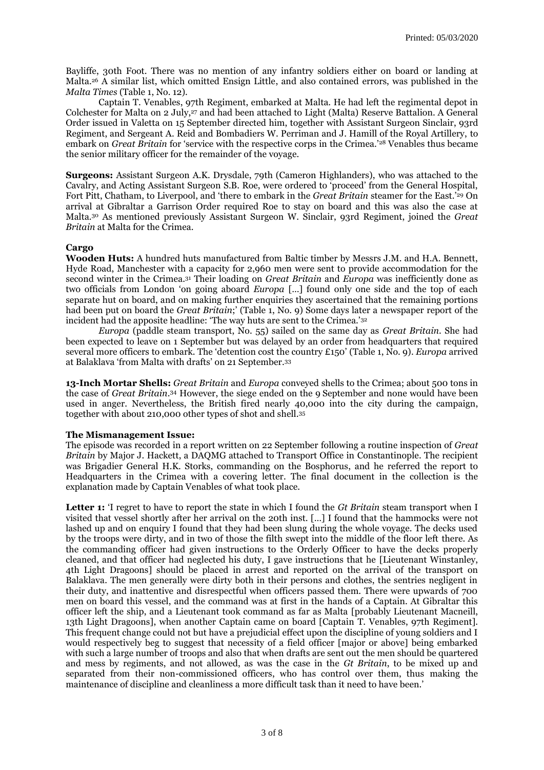Bayliffe, 30th Foot. There was no mention of any infantry soldiers either on board or landing at Malta. <sup>26</sup> A similar list, which omitted Ensign Little, and also contained errors, was published in the *Malta Times* (Table 1, No. 12).

Captain T. Venables, 97th Regiment, embarked at Malta. He had left the regimental depot in Colchester for Malta on 2 July, <sup>27</sup> and had been attached to Light (Malta) Reserve Battalion. A General Order issued in Valetta on 15 September directed him, together with Assistant Surgeon Sinclair, 93rd Regiment, and Sergeant A. Reid and Bombadiers W. Perriman and J. Hamill of the Royal Artillery, to embark on *Great Britain* for 'service with the respective corps in the Crimea.'<sup>28</sup> Venables thus became the senior military officer for the remainder of the voyage.

**Surgeons:** Assistant Surgeon A.K. Drysdale, 79th (Cameron Highlanders), who was attached to the Cavalry, and Acting Assistant Surgeon S.B. Roe, were ordered to 'proceed' from the General Hospital, Fort Pitt, Chatham, to Liverpool, and 'there to embark in the *Great Britain* steamer for the East.'<sup>29</sup> On arrival at Gibraltar a Garrison Order required Roe to stay on board and this was also the case at Malta.<sup>30</sup> As mentioned previously Assistant Surgeon W. Sinclair, 93rd Regiment, joined the *Great Britain* at Malta for the Crimea.

## **Cargo**

**Wooden Huts:** A hundred huts manufactured from Baltic timber by Messrs J.M. and H.A. Bennett, Hyde Road, Manchester with a capacity for 2,960 men were sent to provide accommodation for the second winter in the Crimea. <sup>31</sup> Their loading on *Great Britain* and *Europa* was inefficiently done as two officials from London 'on going aboard *Europa* […] found only one side and the top of each separate hut on board, and on making further enquiries they ascertained that the remaining portions had been put on board the *Great Britain*;' (Table 1, No. 9) Some days later a newspaper report of the incident had the apposite headline: 'The way huts are sent to the Crimea.'<sup>32</sup>

*Europa* (paddle steam transport, No. 55) sailed on the same day as *Great Britain*. She had been expected to leave on 1 September but was delayed by an order from headquarters that required several more officers to embark. The 'detention cost the country £150' (Table 1, No. 9). *Europa* arrived at Balaklava 'from Malta with drafts' on 21 September.<sup>33</sup>

**13-Inch Mortar Shells:** *Great Britain* and *Europa* conveyed shells to the Crimea; about 500 tons in the case of *Great Britain*. <sup>34</sup> However, the siege ended on the 9 September and none would have been used in anger. Nevertheless, the British fired nearly 40,000 into the city during the campaign, together with about 210,000 other types of shot and shell.<sup>35</sup>

### **The Mismanagement Issue:**

The episode was recorded in a report written on 22 September following a routine inspection of *Great Britain* by Major J. Hackett, a DAQMG attached to Transport Office in Constantinople. The recipient was Brigadier General H.K. Storks, commanding on the Bosphorus, and he referred the report to Headquarters in the Crimea with a covering letter. The final document in the collection is the explanation made by Captain Venables of what took place.

**Letter 1:** 'I regret to have to report the state in which I found the *Gt Britain* steam transport when I visited that vessel shortly after her arrival on the 20th inst. […] I found that the hammocks were not lashed up and on enquiry I found that they had been slung during the whole voyage. The decks used by the troops were dirty, and in two of those the filth swept into the middle of the floor left there. As the commanding officer had given instructions to the Orderly Officer to have the decks properly cleaned, and that officer had neglected his duty, I gave instructions that he [Lieutenant Winstanley, 4th Light Dragoons] should be placed in arrest and reported on the arrival of the transport on Balaklava. The men generally were dirty both in their persons and clothes, the sentries negligent in their duty, and inattentive and disrespectful when officers passed them. There were upwards of 700 men on board this vessel, and the command was at first in the hands of a Captain. At Gibraltar this officer left the ship, and a Lieutenant took command as far as Malta [probably Lieutenant Macneill, 13th Light Dragoons], when another Captain came on board [Captain T. Venables, 97th Regiment]. This frequent change could not but have a prejudicial effect upon the discipline of young soldiers and I would respectively beg to suggest that necessity of a field officer [major or above] being embarked with such a large number of troops and also that when drafts are sent out the men should be quartered and mess by regiments, and not allowed, as was the case in the *Gt Britain*, to be mixed up and separated from their non-commissioned officers, who has control over them, thus making the maintenance of discipline and cleanliness a more difficult task than it need to have been.'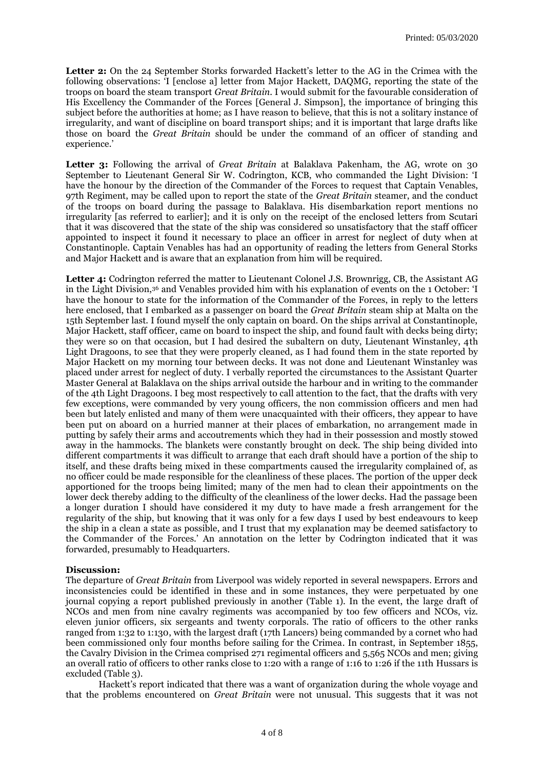**Letter 2:** On the 24 September Storks forwarded Hackett's letter to the AG in the Crimea with the following observations: 'I [enclose a] letter from Major Hackett, DAQMG, reporting the state of the troops on board the steam transport *Great Britain*. I would submit for the favourable consideration of His Excellency the Commander of the Forces [General J. Simpson], the importance of bringing this subject before the authorities at home; as I have reason to believe, that this is not a solitary instance of irregularity, and want of discipline on board transport ships; and it is important that large drafts like those on board the *Great Britain* should be under the command of an officer of standing and experience.'

**Letter 3:** Following the arrival of *Great Britain* at Balaklava Pakenham, the AG, wrote on 30 September to Lieutenant General Sir W. Codrington, KCB, who commanded the Light Division: 'I have the honour by the direction of the Commander of the Forces to request that Captain Venables, 97th Regiment, may be called upon to report the state of the *Great Britain* steamer, and the conduct of the troops on board during the passage to Balaklava. His disembarkation report mentions no irregularity [as referred to earlier]; and it is only on the receipt of the enclosed letters from Scutari that it was discovered that the state of the ship was considered so unsatisfactory that the staff officer appointed to inspect it found it necessary to place an officer in arrest for neglect of duty when at Constantinople. Captain Venables has had an opportunity of reading the letters from General Storks and Major Hackett and is aware that an explanation from him will be required.

**Letter 4:** Codrington referred the matter to Lieutenant Colonel J.S. Brownrigg, CB, the Assistant AG in the Light Division,<sup>36</sup> and Venables provided him with his explanation of events on the 1 October: 'I have the honour to state for the information of the Commander of the Forces, in reply to the letters here enclosed, that I embarked as a passenger on board the *Great Britain* steam ship at Malta on the 15th September last. I found myself the only captain on board. On the ships arrival at Constantinople, Major Hackett, staff officer, came on board to inspect the ship, and found fault with decks being dirty; they were so on that occasion, but I had desired the subaltern on duty, Lieutenant Winstanley, 4th Light Dragoons, to see that they were properly cleaned, as I had found them in the state reported by Major Hackett on my morning tour between decks. It was not done and Lieutenant Winstanley was placed under arrest for neglect of duty. I verbally reported the circumstances to the Assistant Quarter Master General at Balaklava on the ships arrival outside the harbour and in writing to the commander of the 4th Light Dragoons. I beg most respectively to call attention to the fact, that the drafts with very few exceptions, were commanded by very young officers, the non commission officers and men had been but lately enlisted and many of them were unacquainted with their officers, they appear to have been put on aboard on a hurried manner at their places of embarkation, no arrangement made in putting by safely their arms and accoutrements which they had in their possession and mostly stowed away in the hammocks. The blankets were constantly brought on deck. The ship being divided into different compartments it was difficult to arrange that each draft should have a portion of the ship to itself, and these drafts being mixed in these compartments caused the irregularity complained of, as no officer could be made responsible for the cleanliness of these places. The portion of the upper deck apportioned for the troops being limited; many of the men had to clean their appointments on the lower deck thereby adding to the difficulty of the cleanliness of the lower decks. Had the passage been a longer duration I should have considered it my duty to have made a fresh arrangement for the regularity of the ship, but knowing that it was only for a few days I used by best endeavours to keep the ship in a clean a state as possible, and I trust that my explanation may be deemed satisfactory to the Commander of the Forces.' An annotation on the letter by Codrington indicated that it was forwarded, presumably to Headquarters.

### **Discussion:**

The departure of *Great Britain* from Liverpool was widely reported in several newspapers. Errors and inconsistencies could be identified in these and in some instances, they were perpetuated by one journal copying a report published previously in another (Table 1). In the event, the large draft of NCOs and men from nine cavalry regiments was accompanied by too few officers and NCOs, viz. eleven junior officers, six sergeants and twenty corporals. The ratio of officers to the other ranks ranged from 1:32 to 1:130, with the largest draft (17th Lancers) being commanded by a cornet who had been commissioned only four months before sailing for the Crimea. In contrast, in September 1855, the Cavalry Division in the Crimea comprised 271 regimental officers and 5,565 NCOs and men; giving an overall ratio of officers to other ranks close to 1:20 with a range of 1:16 to 1:26 if the 11th Hussars is excluded (Table 3).

Hackett's report indicated that there was a want of organization during the whole voyage and that the problems encountered on *Great Britain* were not unusual. This suggests that it was not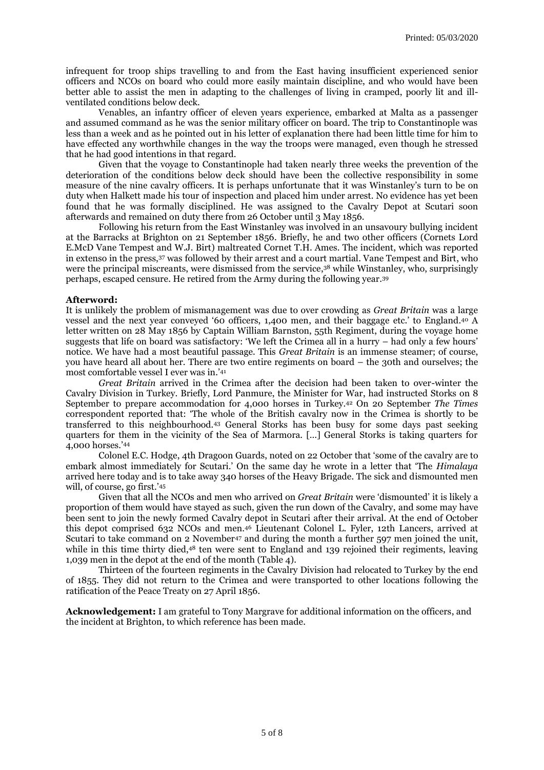infrequent for troop ships travelling to and from the East having insufficient experienced senior officers and NCOs on board who could more easily maintain discipline, and who would have been better able to assist the men in adapting to the challenges of living in cramped, poorly lit and illventilated conditions below deck.

Venables, an infantry officer of eleven years experience, embarked at Malta as a passenger and assumed command as he was the senior military officer on board. The trip to Constantinople was less than a week and as he pointed out in his letter of explanation there had been little time for him to have effected any worthwhile changes in the way the troops were managed, even though he stressed that he had good intentions in that regard.

Given that the voyage to Constantinople had taken nearly three weeks the prevention of the deterioration of the conditions below deck should have been the collective responsibility in some measure of the nine cavalry officers. It is perhaps unfortunate that it was Winstanley's turn to be on duty when Halkett made his tour of inspection and placed him under arrest. No evidence has yet been found that he was formally disciplined. He was assigned to the Cavalry Depot at Scutari soon afterwards and remained on duty there from 26 October until 3 May 1856.

Following his return from the East Winstanley was involved in an unsavoury bullying incident at the Barracks at Brighton on 21 September 1856. Briefly, he and two other officers (Cornets Lord E.McD Vane Tempest and W.J. Birt) maltreated Cornet T.H. Ames. The incident, which was reported in extenso in the press,<sup>37</sup> was followed by their arrest and a court martial. Vane Tempest and Birt, who were the principal miscreants, were dismissed from the service,<sup>38</sup> while Winstanley, who, surprisingly perhaps, escaped censure. He retired from the Army during the following year. 39

#### **Afterword:**

It is unlikely the problem of mismanagement was due to over crowding as *Great Britain* was a large vessel and the next year conveyed '60 officers, 1,400 men, and their baggage etc.' to England. <sup>40</sup> A letter written on 28 May 1856 by Captain William Barnston, 55th Regiment, during the voyage home suggests that life on board was satisfactory: 'We left the Crimea all in a hurry – had only a few hours' notice. We have had a most beautiful passage. This *Great Britain* is an immense steamer; of course, you have heard all about her. There are two entire regiments on board – the 30th and ourselves; the most comfortable vessel I ever was in.'<sup>41</sup>

*Great Britain* arrived in the Crimea after the decision had been taken to over-winter the Cavalry Division in Turkey. Briefly, Lord Panmure, the Minister for War, had instructed Storks on 8 September to prepare accommodation for 4,000 horses in Turkey. <sup>42</sup> On 20 September *The Times* correspondent reported that: 'The whole of the British cavalry now in the Crimea is shortly to be transferred to this neighbourhood.<sup>43</sup> General Storks has been busy for some days past seeking quarters for them in the vicinity of the Sea of Marmora. […] General Storks is taking quarters for 4,000 horses.'<sup>44</sup>

Colonel E.C. Hodge, 4th Dragoon Guards, noted on 22 October that 'some of the cavalry are to embark almost immediately for Scutari.' On the same day he wrote in a letter that 'The *Himalaya*  arrived here today and is to take away 340 horses of the Heavy Brigade. The sick and dismounted men will, of course, go first.'<sup>45</sup>

Given that all the NCOs and men who arrived on *Great Britain* were 'dismounted' it is likely a proportion of them would have stayed as such, given the run down of the Cavalry, and some may have been sent to join the newly formed Cavalry depot in Scutari after their arrival. At the end of October this depot comprised 632 NCOs and men.<sup>46</sup> Lieutenant Colonel L. Fyler, 12th Lancers, arrived at Scutari to take command on 2 November<sup>47</sup> and during the month a further 597 men joined the unit, while in this time thirty died,<sup>48</sup> ten were sent to England and 139 rejoined their regiments, leaving 1,039 men in the depot at the end of the month (Table 4).

Thirteen of the fourteen regiments in the Cavalry Division had relocated to Turkey by the end of 1855. They did not return to the Crimea and were transported to other locations following the ratification of the Peace Treaty on 27 April 1856.

**Acknowledgement:** I am grateful to Tony Margrave for additional information on the officers, and the incident at Brighton, to which reference has been made.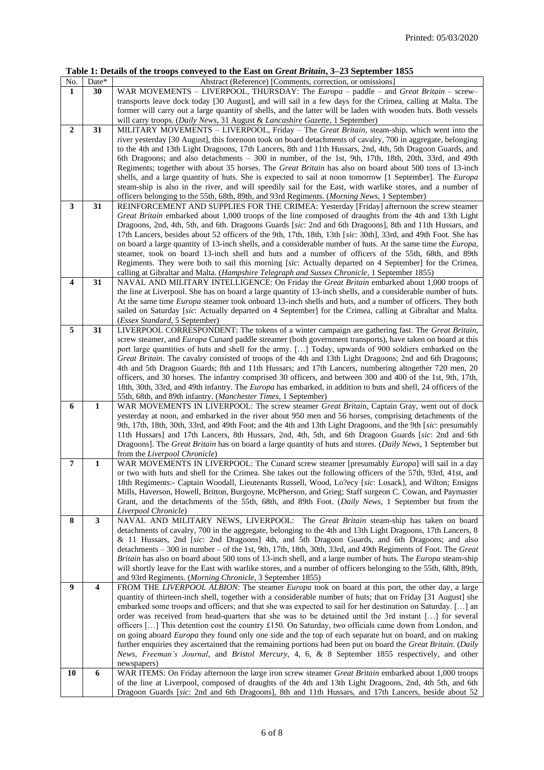|  |  | Table 1: Details of the troops conveyed to the East on <i>Great Britain</i> , 3–23 September 1855 |
|--|--|---------------------------------------------------------------------------------------------------|
|--|--|---------------------------------------------------------------------------------------------------|

|                  |                  | $\frac{1}{2}$ of the troops conveyed to the Blast on Grew Britain, $\epsilon$ so september 1000                  |
|------------------|------------------|------------------------------------------------------------------------------------------------------------------|
| No.              | Date*            | Abstract (Reference) [Comments, correction, or omissions]                                                        |
| 1                | 30               | WAR MOVEMENTS – LIVERPOOL, THURSDAY: The Europa – paddle – and Great Britain – screw–                            |
|                  |                  | transports leave dock today [30 August], and will sail in a few days for the Crimea, calling at Malta. The       |
|                  |                  | former will carry out a large quantity of shells, and the latter will be laden with wooden huts. Both vessels    |
|                  |                  |                                                                                                                  |
|                  |                  | will carry troops. (Daily News, 31 August & Lancashire Gazette, 1 September)                                     |
| $\boldsymbol{2}$ | 31               | MILITARY MOVEMENTS - LIVERPOOL, Friday - The Great Britain, steam-ship, which went into the                      |
|                  |                  | river yesterday [30 August], this forenoon took on board detachments of cavalry, 700 in aggregate, belonging     |
|                  |                  | to the 4th and 13th Light Dragoons, 17th Lancers, 8th and 11th Hussars, 2nd, 4th, 5th Dragoon Guards, and        |
|                  |                  | 6th Dragoons; and also detachments - 300 in number, of the 1st, 9th, 17th, 18th, 20th, 33rd, and 49th            |
|                  |                  | Regiments; together with about 35 horses. The <i>Great Britain</i> has also on board about 500 tons of 13-inch   |
|                  |                  | shells, and a large quantity of huts. She is expected to sail at noon tomorrow [1 September]. The <i>Europa</i>  |
|                  |                  |                                                                                                                  |
|                  |                  | steam-ship is also in the river, and will speedily sail for the East, with warlike stores, and a number of       |
|                  |                  | officers belonging to the 55th, 68th, 89th, and 93rd Regiments. (Morning News, 1 September)                      |
| 3                | 31               | REINFORCEMENT AND SUPPLIES FOR THE CRIMEA: Yesterday [Friday] afternoon the screw steamer                        |
|                  |                  | Great Britain embarked about 1,000 troops of the line composed of draughts from the 4th and 13th Light           |
|                  |                  | Dragoons, 2nd, 4th, 5th, and 6th. Dragoons Guards [sic: 2nd and 6th Dragoons], 8th and 11th Hussars, and         |
|                  |                  | 17th Lancers, besides about 52 officers of the 9th, 17th, 18th, 13th [sic: 30th], 33rd, and 49th Foot. She has   |
|                  |                  | on board a large quantity of 13-inch shells, and a considerable number of huts. At the same time the Europa,     |
|                  |                  |                                                                                                                  |
|                  |                  | steamer, took on board 13-inch shell and huts and a number of officers of the 55th, 68th, and 89th               |
|                  |                  | Regiments. They were both to sail this morning [sic: Actually departed on 4 September] for the Crimea,           |
|                  |                  | calling at Gibraltar and Malta. (Hampshire Telegraph and Sussex Chronicle, 1 September 1855)                     |
| 4                | 31               | NAVAL AND MILITARY INTELLIGENCE: On Friday the Great Britain embarked about 1,000 troops of                      |
|                  |                  | the line at Liverpool. She has on board a large quantity of 13-inch shells, and a considerable number of huts.   |
|                  |                  | At the same time <i>Europa</i> steamer took onboard 13-inch shells and huts, and a number of officers. They both |
|                  |                  | sailed on Saturday [sic: Actually departed on 4 September] for the Crimea, calling at Gibraltar and Malta.       |
|                  |                  |                                                                                                                  |
|                  |                  | (Essex Standard, 5 September)                                                                                    |
| 5                | 31               | LIVERPOOL CORRESPONDENT: The tokens of a winter campaign are gathering fast. The Great Britain,                  |
|                  |                  | screw steamer, and Europa Cunard paddle streamer (both government transports), have taken on board at this       |
|                  |                  | port large quantities of huts and shell for the army. [] Today, upwards of 900 soldiers embarked on the          |
|                  |                  | Great Britain. The cavalry consisted of troops of the 4th and 13th Light Dragoons; 2nd and 6th Dragoons;         |
|                  |                  | 4th and 5th Dragoon Guards; 8th and 11th Hussars; and 17th Lancers, numbering altogether 720 men, 20             |
|                  |                  | officers, and 30 horses. The infantry comprised 30 officers, and between 300 and 400 of the 1st, 9th, 17th,      |
|                  |                  | 18th, 30th, 33rd, and 49th infantry. The Europa has embarked, in addition to huts and shell, 24 officers of the  |
|                  |                  |                                                                                                                  |
|                  |                  | 55th, 68th, and 89th infantry. (Manchester Times, 1 September)                                                   |
| 6                | $\mathbf{1}$     | WAR MOVEMENTS IN LIVERPOOL: The screw steamer Great Britain, Captain Gray, went out of dock                      |
|                  |                  | yesterday at noon, and embarked in the river about 950 men and 56 horses, comprising detachments of the          |
|                  |                  | 9th, 17th, 18th, 30th, 33rd, and 49th Foot; and the 4th and 13th Light Dragoons, and the 9th [sic: presumably    |
|                  |                  | 11th Hussars] and 17th Lancers, 8th Hussars, 2nd, 4th, 5th, and 6th Dragoon Guards [sic: 2nd and 6th             |
|                  |                  | Dragoons]. The Great Britain has on board a large quantity of huts and stores. (Daily News, 1 September but      |
|                  |                  | from the <i>Liverpool Chronicle</i> )                                                                            |
| $\overline{7}$   | $\mathbf{1}$     | WAR MOVEMENTS IN LIVERPOOL: The Cunard screw steamer [presumably <i>Europa</i> ] will sail in a day              |
|                  |                  |                                                                                                                  |
|                  |                  | or two with huts and shell for the Crimea. She takes out the following officers of the 57th, 93rd, 41st, and     |
|                  |                  | 18th Regiments:- Captain Woodall, Lieutenants Russell, Wood, Lo?ecy [sic: Losack], and Wilton; Ensigns           |
|                  |                  | Mills, Haverson, Howell, Britton, Burgoyne, McPherson, and Grieg; Staff surgeon C. Cowan, and Paymaster          |
|                  |                  | Grant, and the detachments of the 55th, 68th, and 89th Foot. (Daily News, 1 September but from the               |
|                  |                  | Liverpool Chronicle)                                                                                             |
| 8                | 3                | NAVAL AND MILITARY NEWS, LIVERPOOL: The Great Britain steam-ship has taken on board                              |
|                  |                  | detachments of cavalry, 700 in the aggregate, belonging to the 4th and 13th Light Dragoons, 17th Lancers, 8      |
|                  |                  | & 11 Hussars, 2nd [sic: 2nd Dragoons] 4th, and 5th Dragoon Guards, and 6th Dragoons; and also                    |
|                  |                  | detachments - 300 in number - of the 1st, 9th, 17th, 18th, 30th, 33rd, and 49th Regiments of Foot. The Great     |
|                  |                  |                                                                                                                  |
|                  |                  | Britain has also on board about 500 tons of 13-inch shell, and a large number of huts. The Europa steam-ship     |
|                  |                  | will shortly leave for the East with warlike stores, and a number of officers belonging to the 55th, 68th, 89th, |
|                  |                  | and 93rd Regiments. (Morning Chronicle, 3 September 1855)                                                        |
| 9                | $\boldsymbol{4}$ | FROM THE LIVERPOOL ALBION: The steamer Europa took on board at this port, the other day, a large                 |
|                  |                  | quantity of thirteen-inch shell, together with a considerable number of huts; that on Friday [31 August] she     |
|                  |                  | embarked some troops and officers; and that she was expected to sail for her destination on Saturday. [] an      |
|                  |                  | order was received from head-quarters that she was to be detained until the 3rd instant [] for several           |
|                  |                  |                                                                                                                  |
|                  |                  | officers [] This detention cost the country £150. On Saturday, two officials came down from London, and          |
|                  |                  | on going aboard Europa they found only one side and the top of each separate hut on board, and on making         |
|                  |                  | further enquiries they ascertained that the remaining portions had been put on board the Great Britain. (Daily   |
|                  |                  | News, Freeman's Journal, and Bristol Mercury, 4, 6, & 8 September 1855 respectively, and other                   |
|                  |                  | newspapers)                                                                                                      |
| 10               | 6                | WAR ITEMS: On Friday afternoon the large iron screw steamer Great Britain embarked about 1,000 troops            |
|                  |                  | of the line at Liverpool, composed of draughts of the 4th and 13th Light Dragoons, 2nd, 4th 5th, and 6th         |
|                  |                  | Dragoon Guards [sic: 2nd and 6th Dragoons], 8th and 11th Hussars, and 17th Lancers, beside about 52              |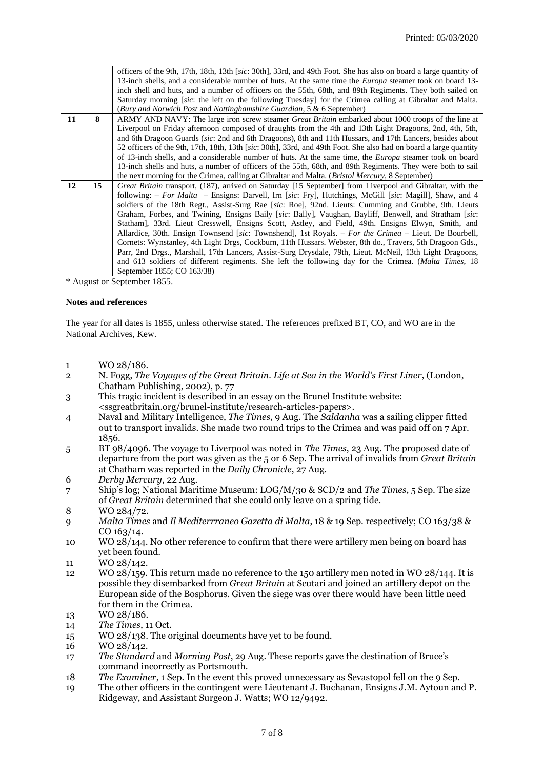|    |    | officers of the 9th, 17th, 18th, 13th [sic: 30th], 33rd, and 49th Foot. She has also on board a large quantity of |
|----|----|-------------------------------------------------------------------------------------------------------------------|
|    |    | 13-inch shells, and a considerable number of huts. At the same time the <i>Europa</i> steamer took on board 13-   |
|    |    | inch shell and huts, and a number of officers on the 55th, 68th, and 89th Regiments. They both sailed on          |
|    |    | Saturday morning <i>sic</i> : the left on the following Tuesday for the Crimea calling at Gibraltar and Malta.    |
|    |    | (Bury and Norwich Post and Nottinghamshire Guardian, 5 & 6 September)                                             |
| 11 | 8  | ARMY AND NAVY: The large iron screw steamer <i>Great Britain</i> embarked about 1000 troops of the line at        |
|    |    | Liverpool on Friday afternoon composed of draughts from the 4th and 13th Light Dragoons, 2nd, 4th, 5th,           |
|    |    | and 6th Dragoon Guards (sic: 2nd and 6th Dragoons), 8th and 11th Hussars, and 17th Lancers, besides about         |
|    |    | 52 officers of the 9th, 17th, 18th, 13th [sic: 30th], 33rd, and 49th Foot. She also had on board a large quantity |
|    |    | of 13-inch shells, and a considerable number of huts. At the same time, the <i>Europa</i> steamer took on board   |
|    |    | 13-inch shells and huts, a number of officers of the 55th, 68th, and 89th Regiments. They were both to sail       |
|    |    | the next morning for the Crimea, calling at Gibraltar and Malta. (Bristol Mercury, 8 September)                   |
| 12 | 15 | Great Britain transport, (187), arrived on Saturday [15 September] from Liverpool and Gibraltar, with the         |
|    |    | following: <i>- For Malta</i> - Ensigns: Darvell, Irn [sic: Fry], Hutchings, McGill [sic: Magill], Shaw, and 4    |
|    |    | soldiers of the 18th Regt., Assist-Surg Rae [sic: Roe], 92nd. Lieuts: Cumming and Grubbe, 9th. Lieuts             |
|    |    | Graham, Forbes, and Twining, Ensigns Baily [sic: Bally], Vaughan, Bayliff, Benwell, and Stratham [sic:            |
|    |    | Statham], 33rd. Lieut Cresswell, Ensigns Scott, Astley, and Field, 49th. Ensigns Elwyn, Smith, and                |
|    |    | Allardice, 30th. Ensign Townsend [sic: Townshend], 1st Royals. – For the Crimea – Lieut. De Bourbell,             |
|    |    | Cornets: Wynstanley, 4th Light Drgs, Cockburn, 11th Hussars. Webster, 8th do., Travers, 5th Dragoon Gds.,         |
|    |    | Parr, 2nd Drgs., Marshall, 17th Lancers, Assist-Surg Drysdale, 79th, Lieut. McNeil, 13th Light Dragoons,          |
|    |    | and 613 soldiers of different regiments. She left the following day for the Crimea. (Malta Times, 18              |
|    |    | September 1855; CO 163/38)                                                                                        |

\* August or September 1855.

### **Notes and references**

The year for all dates is 1855, unless otherwise stated. The references prefixed BT, CO, and WO are in the National Archives, Kew.

- 1 WO 28/186.
- 2 N. Fogg, *The Voyages of the Great Britain. Life at Sea in the World's First Liner*, (London, Chatham Publishing, 2002), p. 77
- 3 This tragic incident is described in an essay on the Brunel Institute website:
- <ssgreatbritain.org/brunel-institute/research-articles-papers>.
- 4 Naval and Military Intelligence, *The Times*, 9 Aug. The *Saldanha* was a sailing clipper fitted out to transport invalids. She made two round trips to the Crimea and was paid off on 7 Apr. 1856.
- 5 BT 98/4096. The voyage to Liverpool was noted in *The Times*, 23 Aug. The proposed date of departure from the port was given as the 5 or 6 Sep. The arrival of invalids from *Great Britain* at Chatham was reported in the *Daily Chronicle*, 27 Aug.
- 6 *Derby Mercury*, 22 Aug.
- 7 Ship's log; National Maritime Museum: LOG/M/30 & SCD/2 and *The Times*, 5 Sep. The size of *Great Britain* determined that she could only leave on a spring tide.
- 8 WO 284/72.
- 9 *Malta Times* and *Il Mediterrraneo Gazetta di Malta*, 18 & 19 Sep. respectively; CO 163/38 & CO 163/14.
- 10 WO 28/144. No other reference to confirm that there were artillery men being on board has yet been found.
- 11 WO 28/142.
- 12 WO 28/159. This return made no reference to the 150 artillery men noted in WO 28/144. It is possible they disembarked from *Great Britain* at Scutari and joined an artillery depot on the European side of the Bosphorus. Given the siege was over there would have been little need for them in the Crimea.
- 13 WO 28/186.
- 14 *The Times*, 11 Oct.
- 15 WO 28/138. The original documents have yet to be found.
- 16 WO 28/142.
- 17 *The Standard* and *Morning Post*, 29 Aug. These reports gave the destination of Bruce's command incorrectly as Portsmouth.
- 18 *The Examiner*, 1 Sep. In the event this proved unnecessary as Sevastopol fell on the 9 Sep.
- 19 The other officers in the contingent were Lieutenant J. Buchanan, Ensigns J.M. Aytoun and P. Ridgeway, and Assistant Surgeon J. Watts; WO 12/9492.